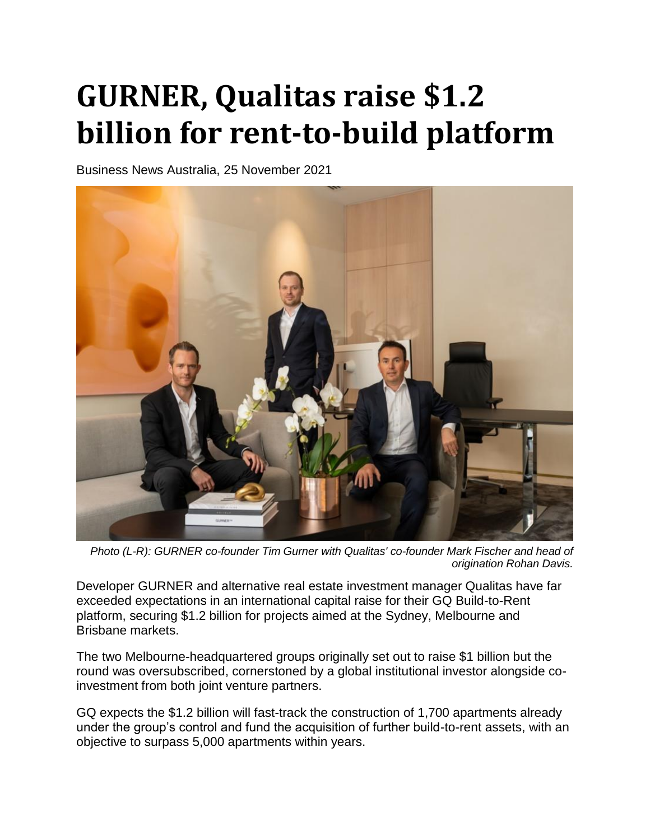## **GURNER, Qualitas raise \$1.2 billion for rent-to-build platform**

Business News Australia, 25 November 2021



*Photo (L-R): GURNER co-founder Tim Gurner with Qualitas' co-founder Mark Fischer and head of origination Rohan Davis.*

Developer GURNER and alternative real estate investment manager Qualitas have far exceeded expectations in an international capital raise for their GQ Build-to-Rent platform, securing \$1.2 billion for projects aimed at the Sydney, Melbourne and Brisbane markets.

The two Melbourne-headquartered groups originally set out to raise \$1 billion but the round was oversubscribed, cornerstoned by a global institutional investor alongside coinvestment from both joint venture partners.

GQ expects the \$1.2 billion will fast-track the construction of 1,700 apartments already under the group's control and fund the acquisition of further build-to-rent assets, with an objective to surpass 5,000 apartments within years.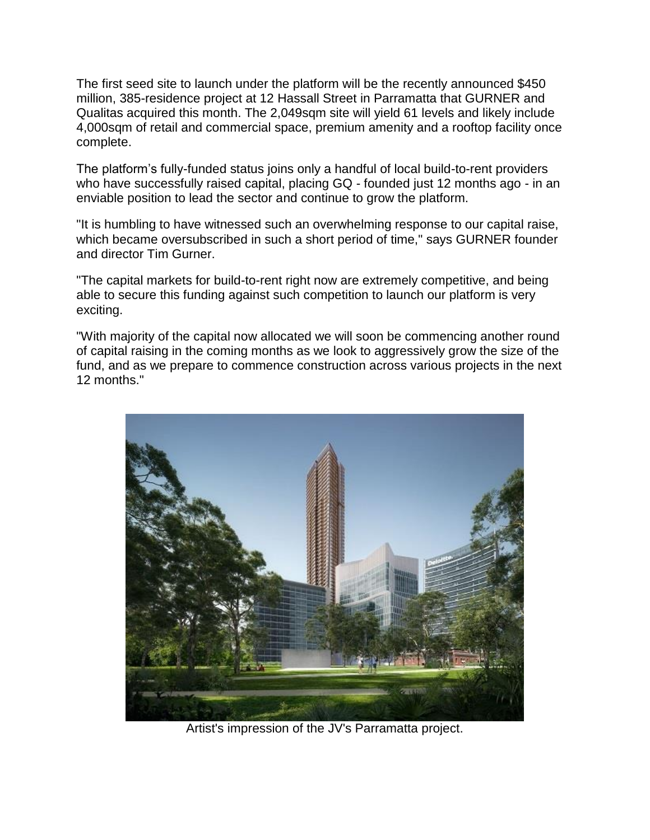The first seed site to launch under the platform will be the recently announced \$450 million, 385-residence project at 12 Hassall Street in Parramatta that GURNER and Qualitas acquired this month. The 2,049sqm site will yield 61 levels and likely include 4,000sqm of retail and commercial space, premium amenity and a rooftop facility once complete.

The platform's fully-funded status joins only a handful of local build-to-rent providers who have successfully raised capital, placing GQ - founded just 12 months ago - in an enviable position to lead the sector and continue to grow the platform.

"It is humbling to have witnessed such an overwhelming response to our capital raise, which became oversubscribed in such a short period of time," says GURNER founder and director Tim Gurner.

"The capital markets for build-to-rent right now are extremely competitive, and being able to secure this funding against such competition to launch our platform is very exciting.

"With majority of the capital now allocated we will soon be commencing another round of capital raising in the coming months as we look to aggressively grow the size of the fund, and as we prepare to commence construction across various projects in the next 12 months."



Artist's impression of the JV's Parramatta project.